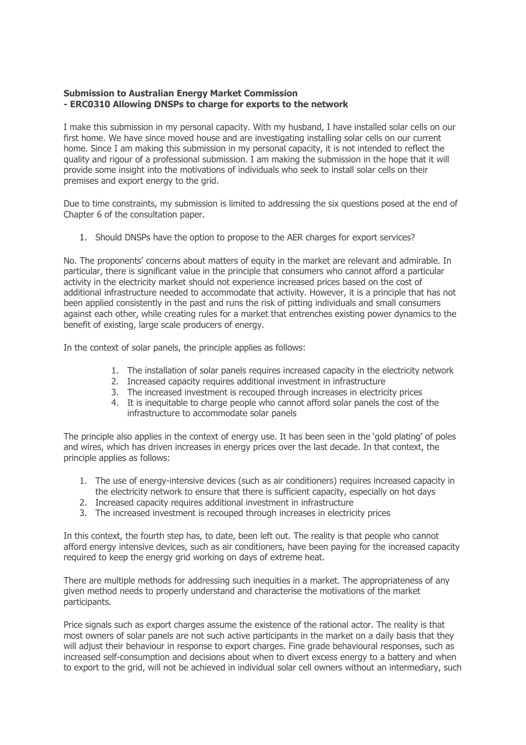## **Submission to Australian Energy Market Commission - ERC0310 Allowing DNSPs to charge for exports to the network**

I make this submission in my personal capacity. With my husband, I have installed solar cells on our first home. We have since moved house and are investigating installing solar cells on our current home. Since I am making this submission in my personal capacity, it is not intended to reflect the quality and rigour of a professional submission. I am making the submission in the hope that it will provide some insight into the motivations of individuals who seek to install solar cells on their premises and export energy to the grid.

Due to time constraints, my submission is limited to addressing the six questions posed at the end of Chapter 6 of the consultation paper.

1. Should DNSPs have the option to propose to the AER charges for export services?

No. The proponents' concerns about matters of equity in the market are relevant and admirable. In particular, there is significant value in the principle that consumers who cannot afford a particular activity in the electricity market should not experience increased prices based on the cost of additional infrastructure needed to accommodate that activity. However, it is a principle that has not been applied consistently in the past and runs the risk of pitting individuals and small consumers against each other, while creating rules for a market that entrenches existing power dynamics to the benefit of existing, large scale producers of energy.

In the context of solar panels, the principle applies as follows:

- 1. The installation of solar panels requires increased capacity in the electricity network
- 2. Increased capacity requires additional investment in infrastructure
- 3. The increased investment is recouped through increases in electricity prices
- 4. It is inequitable to charge people who cannot afford solar panels the cost of the infrastructure to accommodate solar panels

The principle also applies in the context of energy use. It has been seen in the 'gold plating' of poles and wires, which has driven increases in energy prices over the last decade. In that context, the principle applies as follows:

- 1. The use of energy-intensive devices (such as air conditioners) requires increased capacity in the electricity network to ensure that there is sufficient capacity, especially on hot days
- 2. Increased capacity requires additional investment in infrastructure
- 3. The increased investment is recouped through increases in electricity prices

In this context, the fourth step has, to date, been left out. The reality is that people who cannot afford energy intensive devices, such as air conditioners, have been paying for the increased capacity required to keep the energy grid working on days of extreme heat.

There are multiple methods for addressing such inequities in a market. The appropriateness of any given method needs to properly understand and characterise the motivations of the market participants.

Price signals such as export charges assume the existence of the rational actor. The reality is that most owners of solar panels are not such active participants in the market on a daily basis that they will adjust their behaviour in response to export charges. Fine grade behavioural responses, such as increased self-consumption and decisions about when to divert excess energy to a battery and when to export to the grid, will not be achieved in individual solar cell owners without an intermediary, such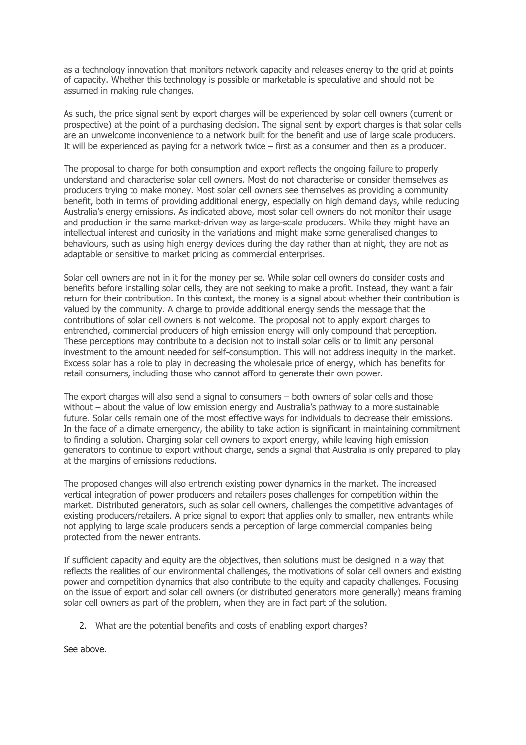as a technology innovation that monitors network capacity and releases energy to the grid at points of capacity. Whether this technology is possible or marketable is speculative and should not be assumed in making rule changes.

As such, the price signal sent by export charges will be experienced by solar cell owners (current or prospective) at the point of a purchasing decision. The signal sent by export charges is that solar cells are an unwelcome inconvenience to a network built for the benefit and use of large scale producers. It will be experienced as paying for a network twice – first as a consumer and then as a producer.

The proposal to charge for both consumption and export reflects the ongoing failure to properly understand and characterise solar cell owners. Most do not characterise or consider themselves as producers trying to make money. Most solar cell owners see themselves as providing a community benefit, both in terms of providing additional energy, especially on high demand days, while reducing Australia's energy emissions. As indicated above, most solar cell owners do not monitor their usage and production in the same market-driven way as large-scale producers. While they might have an intellectual interest and curiosity in the variations and might make some generalised changes to behaviours, such as using high energy devices during the day rather than at night, they are not as adaptable or sensitive to market pricing as commercial enterprises.

Solar cell owners are not in it for the money per se. While solar cell owners do consider costs and benefits before installing solar cells, they are not seeking to make a profit. Instead, they want a fair return for their contribution. In this context, the money is a signal about whether their contribution is valued by the community. A charge to provide additional energy sends the message that the contributions of solar cell owners is not welcome. The proposal not to apply export charges to entrenched, commercial producers of high emission energy will only compound that perception. These perceptions may contribute to a decision not to install solar cells or to limit any personal investment to the amount needed for self-consumption. This will not address inequity in the market. Excess solar has a role to play in decreasing the wholesale price of energy, which has benefits for retail consumers, including those who cannot afford to generate their own power.

The export charges will also send a signal to consumers – both owners of solar cells and those without – about the value of low emission energy and Australia's pathway to a more sustainable future. Solar cells remain one of the most effective ways for individuals to decrease their emissions. In the face of a climate emergency, the ability to take action is significant in maintaining commitment to finding a solution. Charging solar cell owners to export energy, while leaving high emission generators to continue to export without charge, sends a signal that Australia is only prepared to play at the margins of emissions reductions.

The proposed changes will also entrench existing power dynamics in the market. The increased vertical integration of power producers and retailers poses challenges for competition within the market. Distributed generators, such as solar cell owners, challenges the competitive advantages of existing producers/retailers. A price signal to export that applies only to smaller, new entrants while not applying to large scale producers sends a perception of large commercial companies being protected from the newer entrants.

If sufficient capacity and equity are the objectives, then solutions must be designed in a way that reflects the realities of our environmental challenges, the motivations of solar cell owners and existing power and competition dynamics that also contribute to the equity and capacity challenges. Focusing on the issue of export and solar cell owners (or distributed generators more generally) means framing solar cell owners as part of the problem, when they are in fact part of the solution.

2. What are the potential benefits and costs of enabling export charges?

See above.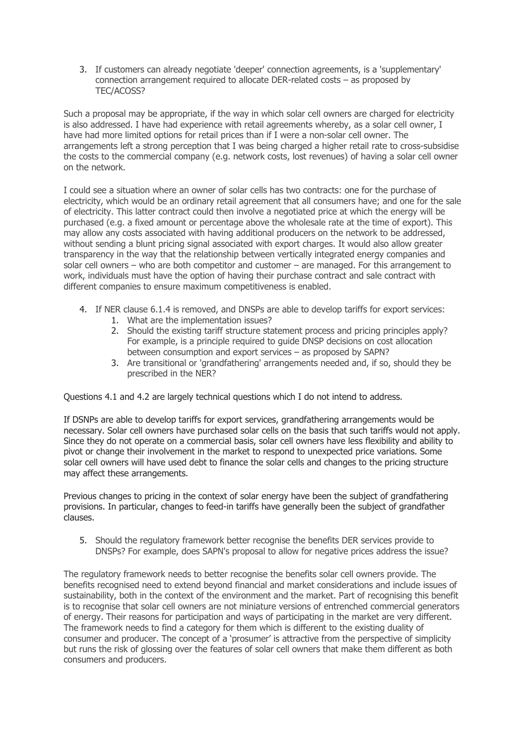3. If customers can already negotiate 'deeper' connection agreements, is a 'supplementary' connection arrangement required to allocate DER-related costs – as proposed by TEC/ACOSS?

Such a proposal may be appropriate, if the way in which solar cell owners are charged for electricity is also addressed. I have had experience with retail agreements whereby, as a solar cell owner, I have had more limited options for retail prices than if I were a non-solar cell owner. The arrangements left a strong perception that I was being charged a higher retail rate to cross-subsidise the costs to the commercial company (e.g. network costs, lost revenues) of having a solar cell owner on the network.

I could see a situation where an owner of solar cells has two contracts: one for the purchase of electricity, which would be an ordinary retail agreement that all consumers have; and one for the sale of electricity. This latter contract could then involve a negotiated price at which the energy will be purchased (e.g. a fixed amount or percentage above the wholesale rate at the time of export). This may allow any costs associated with having additional producers on the network to be addressed, without sending a blunt pricing signal associated with export charges. It would also allow greater transparency in the way that the relationship between vertically integrated energy companies and solar cell owners – who are both competitor and customer – are managed. For this arrangement to work, individuals must have the option of having their purchase contract and sale contract with different companies to ensure maximum competitiveness is enabled.

- 4. If NER clause 6.1.4 is removed, and DNSPs are able to develop tariffs for export services:
	- 1. What are the implementation issues?
		- 2. Should the existing tariff structure statement process and pricing principles apply? For example, is a principle required to guide DNSP decisions on cost allocation between consumption and export services – as proposed by SAPN?
		- 3. Are transitional or 'grandfathering' arrangements needed and, if so, should they be prescribed in the NER?

Questions 4.1 and 4.2 are largely technical questions which I do not intend to address.

If DSNPs are able to develop tariffs for export services, grandfathering arrangements would be necessary. Solar cell owners have purchased solar cells on the basis that such tariffs would not apply. Since they do not operate on a commercial basis, solar cell owners have less flexibility and ability to pivot or change their involvement in the market to respond to unexpected price variations. Some solar cell owners will have used debt to finance the solar cells and changes to the pricing structure may affect these arrangements.

Previous changes to pricing in the context of solar energy have been the subject of grandfathering provisions. In particular, changes to feed-in tariffs have generally been the subject of grandfather clauses.

5. Should the regulatory framework better recognise the benefits DER services provide to DNSPs? For example, does SAPN's proposal to allow for negative prices address the issue?

The regulatory framework needs to better recognise the benefits solar cell owners provide. The benefits recognised need to extend beyond financial and market considerations and include issues of sustainability, both in the context of the environment and the market. Part of recognising this benefit is to recognise that solar cell owners are not miniature versions of entrenched commercial generators of energy. Their reasons for participation and ways of participating in the market are very different. The framework needs to find a category for them which is different to the existing duality of consumer and producer. The concept of a 'prosumer' is attractive from the perspective of simplicity but runs the risk of glossing over the features of solar cell owners that make them different as both consumers and producers.